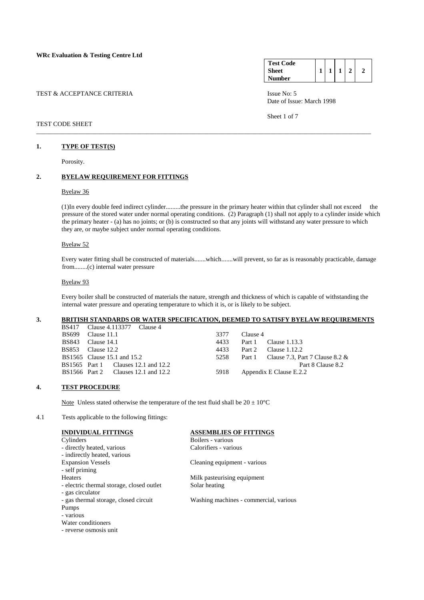| TEST & ACCEPTANCE CRITERIA |  |  |
|----------------------------|--|--|
|                            |  |  |

### TEST CODE SHEET

# **1. TYPE OF TEST(S)**

Porosity.

# **2. BYELAW REQUIREMENT FOR FITTINGS**

## Byelaw 36

 (1)In every double feed indirect cylinder.........the pressure in the primary heater within that cylinder shall not exceed the pressure of the stored water under normal operating conditions. (2) Paragraph (1) shall not apply to a cylinder inside which the primary heater - (a) has no joints; or (b) is constructed so that any joints will withstand any water pressure to which they are, or maybe subject under normal operating conditions.

\_\_\_\_\_\_\_\_\_\_\_\_\_\_\_\_\_\_\_\_\_\_\_\_\_\_\_\_\_\_\_\_\_\_\_\_\_\_\_\_\_\_\_\_\_\_\_\_\_\_\_\_\_\_\_\_\_\_\_\_\_\_\_\_\_\_\_\_\_\_\_\_\_\_\_\_\_\_\_\_\_\_\_\_\_\_\_\_\_\_\_\_\_\_\_\_\_\_\_\_\_\_\_

#### Byelaw 52

 Every water fitting shall be constructed of materials.......which.......will prevent, so far as is reasonably practicable, damage from........(c) internal water pressure

#### Byelaw 93

 Every boiler shall be constructed of materials the nature, strength and thickness of which is capable of withstanding the internal water pressure and operating temperature to which it is, or is likely to be subject.

# **3. BRITISH STANDARDS OR WATER SPECIFICATION, DEEMED TO SATISFY BYELAW REQUIREMENTS**

|       | <b>BS417</b> Clause 4.113377 Clause 4 |                                     |      |          |                                           |
|-------|---------------------------------------|-------------------------------------|------|----------|-------------------------------------------|
| BS699 | Clause 11.1                           |                                     | 3377 | Clause 4 |                                           |
| BS843 | Clause 14.1                           |                                     | 4433 |          | Part 1 Clause 1.13.3                      |
|       | <b>BS853</b> Clause 12.2              |                                     | 4433 |          | Part 2 Clause 1.12.2                      |
|       | BS1565 Clause 15.1 and 15.2           |                                     | 5258 |          | Part 1 Clause 7.3, Part 7 Clause 8.2 $\&$ |
|       |                                       | BS1565 Part 1 Clauses 12.1 and 12.2 |      |          | Part 8 Clause 8.2                         |
|       |                                       | BS1566 Part 2 Clauses 12.1 and 12.2 | 5918 |          | Appendix E Clause E.2.2                   |
|       |                                       |                                     |      |          |                                           |

## **4. TEST PROCEDURE**

Note Unless stated otherwise the temperature of the test fluid shall be  $20 \pm 10^{\circ}$ C

4.1 Tests applicable to the following fittings:

| <b>INDIVIDUAL FITTINGS</b>                | <b>ASSEMBLIES OF FITTINGS</b>          |
|-------------------------------------------|----------------------------------------|
| Cylinders                                 | Boilers - various                      |
| - directly heated, various                | Calorifiers - various                  |
| - indirectly heated, various              |                                        |
| <b>Expansion Vessels</b>                  | Cleaning equipment - various           |
| - self priming                            |                                        |
| <b>Heaters</b>                            | Milk pasteurising equipment            |
| - electric thermal storage, closed outlet | Solar heating                          |
| - gas circulator                          |                                        |
| - gas thermal storage, closed circuit     | Washing machines - commercial, various |
| Pumps                                     |                                        |
| - various                                 |                                        |
| Water conditioners                        |                                        |
| - reverse osmosis unit                    |                                        |

| <b>Test Code</b> |  |  |  |
|------------------|--|--|--|
| <b>Sheet</b>     |  |  |  |
| Number           |  |  |  |

Issue No: 5 Date of Issue: March 1998

Sheet 1 of 7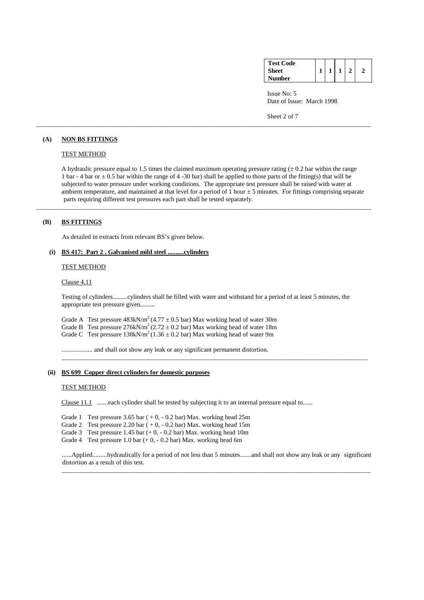| <b>Test Code</b> |  |  |  |
|------------------|--|--|--|
| <b>Sheet</b>     |  |  |  |
| Number           |  |  |  |

 Issue No: 5 Date of Issue: March 1998

Sheet 2 of 7

# **(A) NON BS FITTINGS**

# TEST METHOD

A hydraulic pressure equal to 1.5 times the claimed maximum operating pressure rating  $(± 0.2 \text{ bar within the range})$ 1 bar - 4 bar or  $\pm$  0.5 bar within the range of 4 -30 bar) shall be applied to those parts of the fitting(s) that will be subjected to water pressure under working conditions. The appropriate test pressure shall be raised with water at ambient temperature, and maintained at that level for a period of  $1$  hour  $\pm 5$  minutes. For fittings comprising separate parts requiring different test pressures each part shall be tested separately.

\_\_\_\_\_\_\_\_\_\_\_\_\_\_\_\_\_\_\_\_\_\_\_\_\_\_\_\_\_\_\_\_\_\_\_\_\_\_\_\_\_\_\_\_\_\_\_\_\_\_\_\_\_\_\_\_\_\_\_\_\_\_\_\_\_\_\_\_\_\_\_\_\_\_\_\_\_\_\_\_\_\_\_\_\_\_\_\_\_\_\_\_\_\_\_\_\_\_\_\_\_\_\_

\_\_\_\_\_\_\_\_\_\_\_\_\_\_\_\_\_\_\_\_\_\_\_\_\_\_\_\_\_\_\_\_\_\_\_\_\_\_\_\_\_\_\_\_\_\_\_\_\_\_\_\_\_\_\_\_\_\_\_\_\_\_\_\_\_\_\_\_\_\_\_\_\_\_\_\_\_\_\_\_\_\_\_\_\_\_\_\_\_\_\_\_\_\_\_\_\_\_\_\_\_\_\_

# **(B) BS FITTINGS**

As detailed in extracts from relevant BS's given below.

# **(i) BS 417: Part 2 . Galvanised mild steel ..........cylinders**

### TEST METHOD

#### Clause 4.11

 Testing of cylinders.........cylinders shall be filled with water and withstand for a period of at least 5 minutes, the appropriate test pressure given.........

\_\_\_\_\_\_\_\_\_\_\_\_\_\_\_\_\_\_\_\_\_\_\_\_\_\_\_\_\_\_\_\_\_\_\_\_\_\_\_\_\_\_\_\_\_\_\_\_\_\_\_\_\_\_\_\_\_\_\_\_\_\_\_\_\_\_\_\_\_\_\_\_\_\_\_\_\_\_\_\_\_\_\_\_\_\_\_\_\_\_\_\_\_\_

Grade A Test pressure  $483 \text{kN/m}^2 (4.77 \pm 0.5 \text{ bar})$  Max working head of water 30m Grade B Test pressure  $276kN/m^2 (2.72 \pm 0.2 \text{ bar})$  Max working head of water 18m Grade C Test pressure  $138 \text{kN/m}^2 (1.36 \pm 0.2 \text{ bar})$  Max working head of water 9m

................... and shall not show any leak or any significant permanent distortion.

## **(ii) BS 699 Copper direct cylinders for domestic purposes**

#### TEST METHOD

Clause 11.1 .......each cylinder shall be tested by subjecting it to an internal pressure equal to......

Grade 1 Test pressure  $3.65$  bar ( $+0, -0.2$  bar) Max. working head  $25m$ 

Grade 2 Test pressure 2.20 bar  $(+0, -0.2$  bar) Max. working head 15m

Grade 3 Test pressure 1.45 bar  $(+ 0, -0.2$  bar) Max. working head 10m

Grade 4 Test pressure 1.0 bar (+ 0, - 0.2 bar) Max. working head 6m

 ......Applied.........hydraulically for a period of not less than 5 minutes.......and shall not show any leak or any significant distortion as a result of this test.

\_\_\_\_\_\_\_\_\_\_\_\_\_\_\_\_\_\_\_\_\_\_\_\_\_\_\_\_\_\_\_\_\_\_\_\_\_\_\_\_\_\_\_\_\_\_\_\_\_\_\_\_\_\_\_\_\_\_\_\_\_\_\_\_\_\_\_\_\_\_\_\_\_\_\_\_\_\_\_\_\_\_\_\_\_\_\_\_\_\_\_\_\_\_\_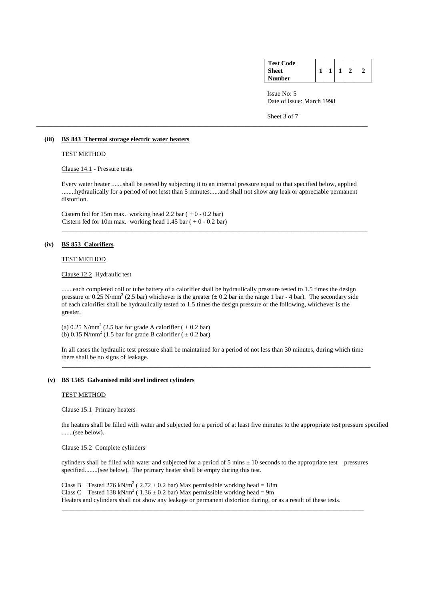| <b>Test Code</b> |  |  |  |
|------------------|--|--|--|
| Sheet            |  |  |  |
| Number           |  |  |  |

 Issue No: 5 Date of issue: March 1998

Sheet 3 of 7

## **(iii) BS 843 Thermal storage electric water heaters**

## TEST METHOD

Clause 14.1 - Pressure tests

 Every water heater .......shall be tested by subjecting it to an internal pressure equal to that specified below, applied ........hydraulically for a period of not lesst than 5 minutes......and shall not show any leak or appreciable permanent distortion.

\_\_\_\_\_\_\_\_\_\_\_\_\_\_\_\_\_\_\_\_\_\_\_\_\_\_\_\_\_\_\_\_\_\_\_\_\_\_\_\_\_\_\_\_\_\_\_\_\_\_\_\_\_\_\_\_\_\_\_\_\_\_\_\_\_\_\_\_\_\_\_\_\_\_\_\_\_\_\_\_\_\_\_\_\_\_\_\_\_\_\_\_\_\_

\_\_\_\_\_\_\_\_\_\_\_\_\_\_\_\_\_\_\_\_\_\_\_\_\_\_\_\_\_\_\_\_\_\_\_\_\_\_\_\_\_\_\_\_\_\_\_\_\_\_\_\_\_\_\_\_\_\_\_\_\_\_\_\_\_\_\_\_\_\_\_\_\_\_\_\_\_\_\_\_\_\_\_\_\_\_\_\_\_\_\_\_\_\_\_\_\_\_\_\_\_\_

Cistern fed for 15m max. working head 2.2 bar  $(+ 0 - 0.2$  bar) Cistern fed for 10m max. working head  $1.45$  bar ( + 0 - 0.2 bar)

# **(iv) BS 853 Calorifiers**

## TEST METHOD

Clause 12.2 Hydraulic test

.......each completed coil or tube battery of a calorifier shall be hydraulically pressure tested to 1.5 times the design pressure or 0.25 N/mm<sup>2</sup> (2.5 bar) whichever is the greater ( $\pm$  0.2 bar in the range 1 bar - 4 bar). The secondary side of each calorifier shall be hydraulically tested to 1.5 times the design pressure or the following, whichever is the greater.

(a)  $0.25$  N/mm<sup>2</sup> (2.5 bar for grade A calorifier ( $\pm 0.2$  bar) (b) 0.15 N/mm<sup>2</sup> (1.5 bar for grade B calorifier ( $\pm$  0.2 bar)

> In all cases the hydraulic test pressure shall be maintained for a period of not less than 30 minutes, during which time there shall be no signs of leakage.

\_\_\_\_\_\_\_\_\_\_\_\_\_\_\_\_\_\_\_\_\_\_\_\_\_\_\_\_\_\_\_\_\_\_\_\_\_\_\_\_\_\_\_\_\_\_\_\_\_\_\_\_\_\_\_\_\_\_\_\_\_\_\_\_\_\_\_\_\_\_\_\_\_\_\_\_\_\_\_\_\_\_\_\_\_\_\_\_\_\_\_\_\_\_\_

# **(v) BS 1565 Galvanised mild steel indirect cylinders**

#### TEST METHOD

Clause 15.1 Primary heaters

 the heaters shall be filled with water and subjected for a period of at least five minutes to the appropriate test pressure specified .......(see below).

Clause 15.2 Complete cylinders

cylinders shall be filled with water and subjected for a period of 5 mins  $\pm$  10 seconds to the appropriate test pressures specified........(see below). The primary heater shall be empty during this test.

Class B Tested 276 kN/m<sup>2</sup> (2.72  $\pm$  0.2 bar) Max permissible working head = 18m Class C Tested 138 kN/m<sup>2</sup> (1.36  $\pm$  0.2 bar) Max permissible working head = 9m Heaters and cylinders shall not show any leakage or permanent distortion during, or as a result of these tests. \_\_\_\_\_\_\_\_\_\_\_\_\_\_\_\_\_\_\_\_\_\_\_\_\_\_\_\_\_\_\_\_\_\_\_\_\_\_\_\_\_\_\_\_\_\_\_\_\_\_\_\_\_\_\_\_\_\_\_\_\_\_\_\_\_\_\_\_\_\_\_\_\_\_\_\_\_\_\_\_\_\_\_\_\_\_\_\_\_\_\_\_\_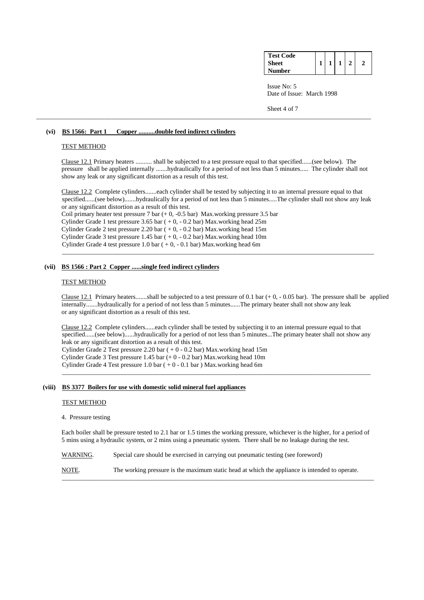| <b>Test Code</b> |  |  |  |
|------------------|--|--|--|
| <b>Sheet</b>     |  |  |  |
| <b>Number</b>    |  |  |  |

Issue No: 5 Date of Issue: March 1998

Sheet 4 of 7

### **(vi) BS 1566: Part 1 Copper ..........double feed indirect cylinders**

## TEST METHOD

 Clause 12.1 Primary heaters .......... shall be subjected to a test pressure equal to that specified......(see below). The pressure shall be applied internally .......hydraulically for a period of not less than 5 minutes..... The cylinder shall not show any leak or any significant distortion as a result of this test.

\_\_\_\_\_\_\_\_\_\_\_\_\_\_\_\_\_\_\_\_\_\_\_\_\_\_\_\_\_\_\_\_\_\_\_\_\_\_\_\_\_\_\_\_\_\_\_\_\_\_\_\_\_\_\_\_\_\_\_\_\_\_\_\_\_\_\_\_\_\_\_\_\_\_\_\_\_\_\_\_\_\_\_\_\_\_\_\_\_\_\_\_\_\_\_\_\_\_\_\_\_\_\_

 Clause 12.2 Complete cylinders.......each cylinder shall be tested by subjecting it to an internal pressure equal to that specified......(see below).......hydraulically for a period of not less than 5 minutes.....The cylinder shall not show any leak or any significant distortion as a result of this test.

\_\_\_\_\_\_\_\_\_\_\_\_\_\_\_\_\_\_\_\_\_\_\_\_\_\_\_\_\_\_\_\_\_\_\_\_\_\_\_\_\_\_\_\_\_\_\_\_\_\_\_\_\_\_\_\_\_\_\_\_\_\_\_\_\_\_\_\_\_\_\_\_\_\_\_\_\_\_\_\_\_\_\_\_\_\_\_\_\_\_\_\_\_\_\_\_

Coil primary heater test pressure 7 bar  $(+ 0, -0.5$  bar) Max.working pressure 3.5 bar Cylinder Grade 1 test pressure  $3.65$  bar ( + 0, - 0.2 bar) Max.working head 25m Cylinder Grade 2 test pressure 2.20 bar  $(+0, -0.2$  bar) Max.working head 15m Cylinder Grade 3 test pressure  $1.45$  bar ( $+0, -0.2$  bar) Max.working head 10m Cylinder Grade 4 test pressure  $1.0$  bar  $(+0, -0.1$  bar) Max.working head 6m

## **(vii) BS 1566 : Part 2 Copper ......single feed indirect cylinders**

#### TEST METHOD

Clause 12.1 Primary heaters.......shall be subjected to a test pressure of 0.1 bar  $(+ 0, -0.05$  bar). The pressure shall be applied internally.......hydraulically for a period of not less than 5 minutes......The primary heater shall not show any leak or any significant distortion as a result of this test.

 Clause 12.2 Complete cylinders......each cylinder shall be tested by subjecting it to an internal pressure equal to that specified......(see below)......hydraulically for a period of not less than 5 minutes...The primary heater shall not show any leak or any significant distortion as a result of this test. Cylinder Grade 2 Test pressure 2.20 bar ( + 0 - 0.2 bar) Max.working head 15m Cylinder Grade 3 Test pressure 1.45 bar (+ 0 - 0.2 bar) Max.working head 10m

Cylinder Grade 4 Test pressure  $1.0$  bar  $(+ 0 - 0.1$  bar  $)$  Max.working head 6m  $\overline{\phantom{a}}$  ,  $\overline{\phantom{a}}$  ,  $\overline{\phantom{a}}$  ,  $\overline{\phantom{a}}$  ,  $\overline{\phantom{a}}$  ,  $\overline{\phantom{a}}$  ,  $\overline{\phantom{a}}$  ,  $\overline{\phantom{a}}$  ,  $\overline{\phantom{a}}$  ,  $\overline{\phantom{a}}$  ,  $\overline{\phantom{a}}$  ,  $\overline{\phantom{a}}$  ,  $\overline{\phantom{a}}$  ,  $\overline{\phantom{a}}$  ,  $\overline{\phantom{a}}$  ,  $\overline{\phantom{a}}$ 

# **(viii) BS 3377 Boilers for use with domestic solid mineral fuel appliances**

## TEST METHOD

#### 4. Pressure testing

 Each boiler shall be pressure tested to 2.1 bar or 1.5 times the working pressure, whichever is the higher, for a period of 5 mins using a hydraulic system, or 2 mins using a pneumatic system. There shall be no leakage during the test.

WARNING. Special care should be exercised in carrying out pneumatic testing (see foreword)

 NOTE. The working pressure is the maximum static head at which the appliance is intended to operate. \_\_\_\_\_\_\_\_\_\_\_\_\_\_\_\_\_\_\_\_\_\_\_\_\_\_\_\_\_\_\_\_\_\_\_\_\_\_\_\_\_\_\_\_\_\_\_\_\_\_\_\_\_\_\_\_\_\_\_\_\_\_\_\_\_\_\_\_\_\_\_\_\_\_\_\_\_\_\_\_\_\_\_\_\_\_\_\_\_\_\_\_\_\_\_\_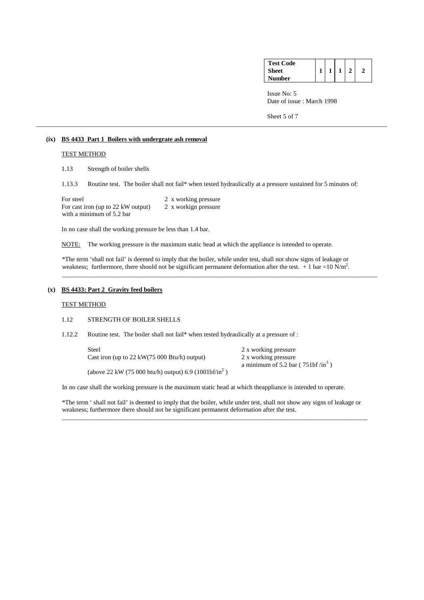| <b>Test Code</b> |  |  |  |
|------------------|--|--|--|
| <b>Sheet</b>     |  |  |  |
| <b>Number</b>    |  |  |  |

 Issue No: 5 Date of issue : March 1998

Sheet 5 of 7

# **(ix) BS 4433 Part 1 Boilers with undergrate ash removal**

# TEST METHOD

1.13 Strength of boiler shells

1.13.3 Routine test. The boiler shall not fail\* when tested hydraulically at a pressure sustained for 5 minutes of:

\_\_\_\_\_\_\_\_\_\_\_\_\_\_\_\_\_\_\_\_\_\_\_\_\_\_\_\_\_\_\_\_\_\_\_\_\_\_\_\_\_\_\_\_\_\_\_\_\_\_\_\_\_\_\_\_\_\_\_\_\_\_\_\_\_\_\_\_\_\_\_\_\_\_\_\_\_\_\_\_\_\_\_\_\_\_\_\_\_\_\_\_\_\_\_\_\_\_\_\_\_\_\_\_\_\_\_\_

| For steel                          | 2 x working pressure |
|------------------------------------|----------------------|
| For cast iron (up to 22 kW output) | 2 x workign pressure |
| with a minimum of 5.2 bar          |                      |

In no case shall the working pressure be less than 1.4 bar.

NOTE: The working pressure is the maximum static head at which the appliance is intended to operate.

 \*The term 'shall not fail' is deemed to imply that the boiler, while under test, shall not show signs of leakage or weakness; furthermore, there should not be significant permanent deformation after the test.  $+1$  bar =10 N/m<sup>2</sup>. \_\_\_\_\_\_\_\_\_\_\_\_\_\_\_\_\_\_\_\_\_\_\_\_\_\_\_\_\_\_\_\_\_\_\_\_\_\_\_\_\_\_\_\_\_\_\_\_\_\_\_\_\_\_\_\_\_\_\_\_\_\_\_\_\_\_\_\_\_\_\_\_\_\_\_\_\_\_\_\_\_\_\_\_\_\_\_\_\_\_\_\_\_\_\_\_\_

# **(x) BS 4433: Part 2 Gravity feed boilers**

### TEST METHOD

# 1.12 STRENGTH OF BOILER SHELLS

1.12.2 Routine test. The boiler shall not fail\* when tested hydraulically at a pressure of :

Steel 2 x working pressure Cast iron (up to 22 kW(75 000 Btu/h) output) 2 x working pressure a minimum of 5.2 bar ( $751bf /in^3$ )

(above 22 kW (75 000 btu/h) output) 6.9 (1001bf/in<sup>2</sup>)

In no case shall the working pressure is the maximum static head at which theappliance is intended to operate.

 $\overline{\phantom{a}}$  ,  $\overline{\phantom{a}}$  ,  $\overline{\phantom{a}}$  ,  $\overline{\phantom{a}}$  ,  $\overline{\phantom{a}}$  ,  $\overline{\phantom{a}}$  ,  $\overline{\phantom{a}}$  ,  $\overline{\phantom{a}}$  ,  $\overline{\phantom{a}}$  ,  $\overline{\phantom{a}}$  ,  $\overline{\phantom{a}}$  ,  $\overline{\phantom{a}}$  ,  $\overline{\phantom{a}}$  ,  $\overline{\phantom{a}}$  ,  $\overline{\phantom{a}}$  ,  $\overline{\phantom{a}}$ 

 \*The term ' shall not fail' is deemed to imply that the boiler, while under test, shall not show any signs of leakage or weakness; furthermore there should not be significant permanent deformation after the test.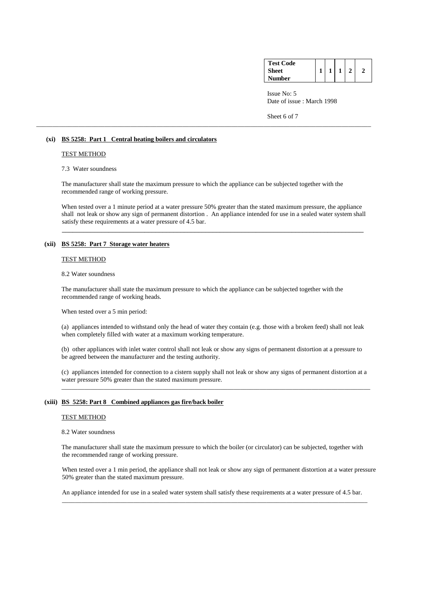| <b>Test Code</b> |  |  |  |
|------------------|--|--|--|
| <b>Sheet</b>     |  |  |  |
| Number           |  |  |  |

 Issue No: 5 Date of issue : March 1998

Sheet 6 of 7

## **(xi) BS 5258: Part 1 Central heating boilers and circulators**

## TEST METHOD

# 7.3 Water soundness

 The manufacturer shall state the maximum pressure to which the appliance can be subjected together with the recommended range of working pressure.

 $\_$  . The contribution of the contribution of the contribution of the contribution of the contribution of  $\mathcal{L}_\mathbf{z}$ 

\_\_\_\_\_\_\_\_\_\_\_\_\_\_\_\_\_\_\_\_\_\_\_\_\_\_\_\_\_\_\_\_\_\_\_\_\_\_\_\_\_\_\_\_\_\_\_\_\_\_\_\_\_\_\_\_\_\_\_\_\_\_\_\_\_\_\_\_\_\_\_\_\_\_\_\_\_\_\_\_\_\_\_\_\_\_\_\_\_\_\_\_\_\_\_\_\_\_\_\_\_\_\_

When tested over a 1 minute period at a water pressure 50% greater than the stated maximum pressure, the appliance shall not leak or show any sign of permanent distortion . An appliance intended for use in a sealed water system shall satisfy these requirements at a water pressure of 4.5 bar.

#### **(xii) BS 5258: Part 7 Storage water heaters**

#### TEST METHOD

#### 8.2 Water soundness

 The manufacturer shall state the maximum pressure to which the appliance can be subjected together with the recommended range of working heads.

When tested over a 5 min period:

 (a) appliances intended to withstand only the head of water they contain (e.g. those with a broken feed) shall not leak when completely filled with water at a maximum working temperature.

 (b) other appliances with inlet water control shall not leak or show any signs of permanent distortion at a pressure to be agreed between the manufacturer and the testing authority.

 (c) appliances intended for connection to a cistern supply shall not leak or show any signs of permanent distortion at a water pressure 50% greater than the stated maximum pressure.

\_\_\_\_\_\_\_\_\_\_\_\_\_\_\_\_\_\_\_\_\_\_\_\_\_\_\_\_\_\_\_\_\_\_\_\_\_\_\_\_\_\_\_\_\_\_\_\_\_\_\_\_\_\_\_\_\_\_\_\_\_\_\_\_\_\_\_\_\_\_\_\_\_\_\_\_\_\_\_\_\_\_\_\_\_\_\_\_\_\_\_\_\_\_\_

# **(xiii) BS 5258: Part 8 Combined appliances gas fire/back boiler**

#### TEST METHOD

## 8.2 Water soundness

 The manufacturer shall state the maximum pressure to which the boiler (or circulator) can be subjected, together with the recommended range of working pressure.

When tested over a 1 min period, the appliance shall not leak or show any sign of permanent distortion at a water pressure 50% greater than the stated maximum pressure.

An appliance intended for use in a sealed water system shall satisfy these requirements at a water pressure of 4.5 bar.

\_\_\_\_\_\_\_\_\_\_\_\_\_\_\_\_\_\_\_\_\_\_\_\_\_\_\_\_\_\_\_\_\_\_\_\_\_\_\_\_\_\_\_\_\_\_\_\_\_\_\_\_\_\_\_\_\_\_\_\_\_\_\_\_\_\_\_\_\_\_\_\_\_\_\_\_\_\_\_\_\_\_\_\_\_\_\_\_\_\_\_\_\_\_